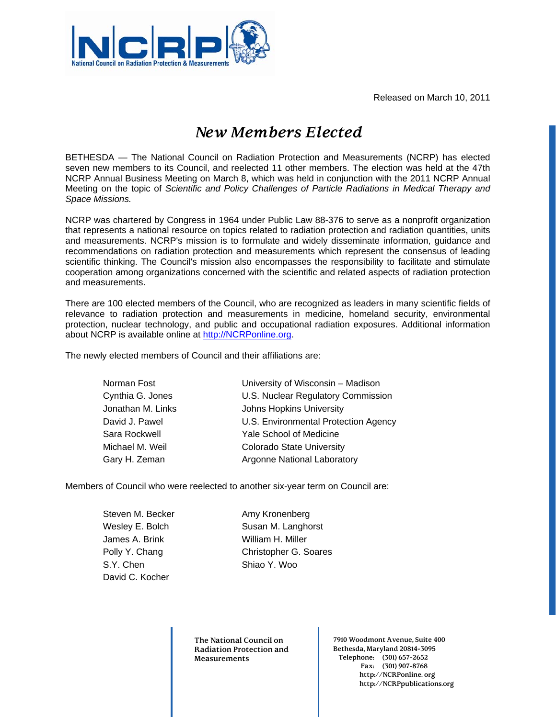Released on March 10, 2011



## *New Members Elected*

BETHESDA — The National Council on Radiation Protection and Measurements (NCRP) has elected seven new members to its Council, and reelected 11 other members. The election was held at the 47th NCRP Annual Business Meeting on March 8, which was held in conjunction with the 2011 NCRP Annual Meeting on the topic of *Scientific and Policy Challenges of Particle Radiations in Medical Therapy and Space Missions.*

NCRP was chartered by Congress in 1964 under Public Law 88-376 to serve as a nonprofit organization that represents a national resource on topics related to radiation protection and radiation quantities, units and measurements. NCRP's mission is to formulate and widely disseminate information, guidance and recommendations on radiation protection and measurements which represent the consensus of leading scientific thinking. The Council's mission also encompasses the responsibility to facilitate and stimulate cooperation among organizations concerned with the scientific and related aspects of radiation protection and measurements.

There are 100 elected members of the Council, who are recognized as leaders in many scientific fields of relevance to radiation protection and measurements in medicine, homeland security, environmental protection, nuclear technology, and public and occupational radiation exposures. Additional information about NCRP is available online at [http://NCRPonline.org](http://ncrponline.org/).

The newly elected members of Council and their affiliations are:

| University of Wisconsin - Madison    |
|--------------------------------------|
| U.S. Nuclear Regulatory Commission   |
| Johns Hopkins University             |
| U.S. Environmental Protection Agency |
| Yale School of Medicine              |
| <b>Colorado State University</b>     |
| <b>Argonne National Laboratory</b>   |
|                                      |

Members of Council who were reelected to another six-year term on Council are:

| Steven M. Becker |
|------------------|
| Wesley E. Bolch  |
| James A. Brink   |
| Polly Y. Chang   |
| S.Y. Chen        |
| David C. Kocher  |

Amy Kronenberg Susan M. Langhorst William H. Miller Christopher G. Soares Shiao Y. Woo

**The National Council on Radiation Protection and Measurements** 

**7910 Woodmont Avenue, Suite 400 Bethesda, Maryland 20814-3095 Telephone: (301) 657-2652 Fax: (301) 907-8768 http://NCRPonline. org http://NCRPpublications.org**